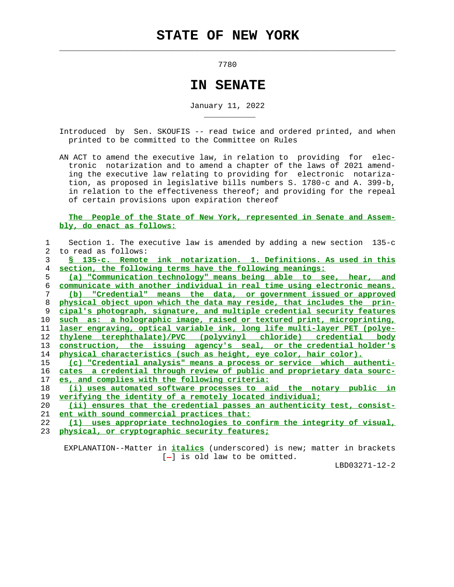$\mathcal{L}_\text{max} = \frac{1}{2} \sum_{i=1}^{n} \frac{1}{2} \sum_{i=1}^{n} \frac{1}{2} \sum_{i=1}^{n} \frac{1}{2} \sum_{i=1}^{n} \frac{1}{2} \sum_{i=1}^{n} \frac{1}{2} \sum_{i=1}^{n} \frac{1}{2} \sum_{i=1}^{n} \frac{1}{2} \sum_{i=1}^{n} \frac{1}{2} \sum_{i=1}^{n} \frac{1}{2} \sum_{i=1}^{n} \frac{1}{2} \sum_{i=1}^{n} \frac{1}{2} \sum_{i=1}^{n} \frac{1$ 

\_\_\_\_\_\_\_\_\_\_\_

7780

## **IN SENATE**

January 11, 2022

 Introduced by Sen. SKOUFIS -- read twice and ordered printed, and when printed to be committed to the Committee on Rules

 AN ACT to amend the executive law, in relation to providing for elec tronic notarization and to amend a chapter of the laws of 2021 amend ing the executive law relating to providing for electronic notariza tion, as proposed in legislative bills numbers S. 1780-c and A. 399-b, in relation to the effectiveness thereof; and providing for the repeal of certain provisions upon expiration thereof

## **The People of the State of New York, represented in Senate and Assem bly, do enact as follows:**

|                | Section 1. The executive law is amended by adding a new section $135-c$  |
|----------------|--------------------------------------------------------------------------|
| $\overline{2}$ | to read as follows:                                                      |
| 3              | § 135-c. Remote ink notarization. 1. Definitions. As used in this        |
| 4              | section, the following terms have the following meanings:                |
| 5.             | (a) "Communication technology" means being able to see, hear, and        |
| 6              | communicate with another individual in real time using electronic means. |
| 7              | (b) "Credential" means the data, or government issued or approved        |
| 8              | physical object upon which the data may reside, that includes the prin-  |
| 9              | cipal's photograph, signature, and multiple credential security features |
| 10             | such as: a holographic image, raised or textured print, microprinting,   |
| 11             | laser engraving, optical variable ink, long life multi-layer PET (polye- |
| 12             | thylene terephthalate)/PVC (polyvinyl chloride)<br>credential body       |
| 13             | construction, the issuing agency's seal, or the credential holder's      |
| 14             | physical characteristics (such as height, eye color, hair color).        |
| 15             | (c) "Credential analysis" means a process or service which authenti-     |
| 16             | cates a credential through review of public and proprietary data sourc-  |
| 17             | es, and complies with the following criteria:                            |
| 18             | (i) uses automated software processes to aid the notary public in        |
| 19             | verifying the identity of a remotely located individual;                 |
| 20             | (ii) ensures that the credential passes an authenticity test, consist-   |
| 21             | ent with sound commercial practices that:                                |
| 22             | uses appropriate technologies to confirm the integrity of visual,<br>(1) |
| 23             | physical, or cryptographic security features;                            |

 EXPLANATION--Matter in **italics** (underscored) is new; matter in brackets  $[-]$  is old law to be omitted.

LBD03271-12-2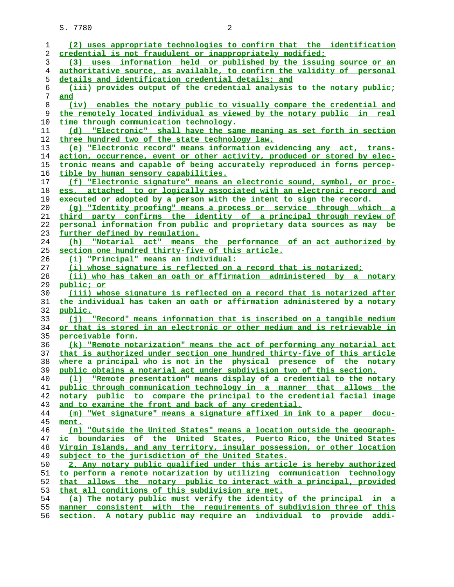| 1              | (2) uses appropriate technologies to confirm that the identification     |
|----------------|--------------------------------------------------------------------------|
| 2              | credential is not fraudulent or inappropriately modified;                |
| 3              | (3) uses information held or published by the issuing source or an       |
| $\overline{4}$ | authoritative source, as available, to confirm the validity of personal  |
| 5              | details and identification credential details; and                       |
| 6              | (iii) provides output of the credential analysis to the notary public;   |
| 7              | and                                                                      |
| 8              | (iv) enables the notary public to visually compare the credential and    |
| 9              | the remotely located individual as viewed by the notary public in real   |
| 10             | time through communication technology.                                   |
| 11             | (d) "Electronic" shall have the same meaning as set forth in section     |
| 12             | three hundred two of the state technology law.                           |
| 13             | (e) "Electronic record" means information evidencing any act, trans-     |
| 14             | action, occurrence, event or other activity, produced or stored by elec- |
| 15             | tronic means and capable of being accurately reproduced in forms percep- |
| 16             | tible by human sensory capabilities.                                     |
|                |                                                                          |
| 17             | (f) "Electronic signature" means an electronic sound, symbol, or proc-   |
| 18             | ess, attached to or logically associated with an electronic record and   |
| 19             | executed or adopted by a person with the intent to sign the record.      |
| 20             | (q) "Identity proofing" means a process or service through which a       |
| 21             | third party confirms the identity of a principal through review of       |
| 22             | personal information from public and proprietary data sources as may be  |
| 23             | further defined by requlation.                                           |
| 24             | (h) "Notarial act" means the performance of an act authorized by         |
| 25             | section one hundred thirty-five of this article.                         |
| 26             | (i) "Principal" means an individual:                                     |
| 27             | (i) whose signature is reflected on a record that is notarized;          |
| 28             | (ii) who has taken an oath or affirmation administered by a notary       |
| 29             | public; or                                                               |
| 30             | (iii) whose signature is reflected on a record that is notarized after   |
| 31             | the individual has taken an oath or affirmation administered by a notary |
| 32             | public.                                                                  |
| 33             | (j) "Record" means information that is inscribed on a tangible medium    |
| 34             | or that is stored in an electronic or other medium and is retrievable in |
| 35             | perceivable form.                                                        |
| 36             | (k) "Remote notarization" means the act of performing any notarial act   |
| 37             | that is authorized under section one hundred thirty-five of this article |
| 38             | where a principal who is not in the physical presence of the notary      |
| 39             | public obtains a notarial act under subdivision two of this section.     |
| 40             | (1) "Remote presentation" means display of a credential to the notary    |
| 41             | public through communication technology in a manner that allows the      |
| 42             | notary public to compare the principal to the credential facial image    |
| 43             | and to examine the front and back of any credential.                     |
| 44             | (m) "Wet signature" means a signature affixed in ink to a paper docu-    |
| 45             | ment.                                                                    |
| 46             | (n) "Outside the United States" means a location outside the geograph-   |
| 47             | ic boundaries of the United States, Puerto Rico, the United States       |
| 48             | Virgin Islands, and any territory, insular possession, or other location |
| 49             | subject to the jurisdiction of the United States.                        |
| 50             | 2. Any notary public qualified under this article is hereby authorized   |
| 51             | to perform a remote notarization by utilizing communication technology   |
| 52             | that allows the notary public to interact with a principal, provided     |
| 53             | that all conditions of this subdivision are met.                         |
| 54             | (a) The notary public must verify the identity of the principal in a     |
| 55             | manner consistent with the requirements of subdivision three of this     |
| 56             | section. A notary public may require an individual to provide addi-      |
|                |                                                                          |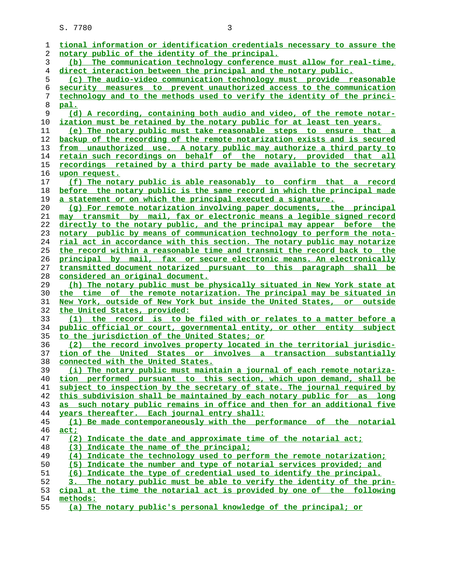| 1  | tional information or identification credentials necessary to assure the |
|----|--------------------------------------------------------------------------|
| 2  | notary public of the identity of the principal.                          |
| 3  | (b) The communication technology conference must allow for real-time,    |
| 4  | direct interaction between the principal and the notary public.          |
| 5  | (c) The audio-video communication technology must provide reasonable     |
| 6  | security measures to prevent unauthorized access to the communication    |
| 7  | technology and to the methods used to verify the identity of the princi- |
| 8  | pal.                                                                     |
| 9  | (d) A recording, containing both audio and video, of the remote notar-   |
| 10 | ization must be retained by the notary public for at least ten years.    |
| 11 | (e) The notary public must take reasonable steps to ensure that a        |
| 12 | backup of the recording of the remote notarization exists and is secured |
| 13 | from unauthorized use. A notary public may authorize a third party to    |
| 14 | retain such recordings on behalf of the notary, provided that all        |
| 15 | recordings retained by a third party be made available to the secretary  |
| 16 | upon request.                                                            |
| 17 | (f) The notary public is able reasonably to confirm that a record        |
| 18 | before the notary public is the same record in which the principal made  |
| 19 | a statement or on which the principal executed a signature.              |
| 20 | (g) For remote notarization involving paper documents, the principal     |
| 21 | may transmit by mail, fax or electronic means a legible signed record    |
| 22 | directly to the notary public, and the principal may appear before the   |
| 23 | notary public by means of communication technology to perform the nota-  |
| 24 | rial act in accordance with this section. The notary public may notarize |
| 25 | the record within a reasonable time and transmit the record back to the  |
| 26 | principal by mail, fax or secure electronic means. An electronically     |
| 27 | transmitted document notarized pursuant to this paragraph shall be       |
| 28 | considered an original document.                                         |
| 29 | (h) The notary public must be physically situated in New York state at   |
| 30 | the time of the remote notarization. The principal may be situated in    |
| 31 | New York, outside of New York but inside the United States, or outside   |
| 32 | the United States, provided:                                             |
| 33 | (1) the record is to be filed with or relates to a matter before a       |
| 34 | public official or court, governmental entity, or other entity subject   |
| 35 | to the jurisdiction of the United States; or                             |
| 36 | (2) the record involves property located in the territorial jurisdic-    |
| 37 | tion of the United States or involves a transaction substantially        |
| 38 | connected with the United States.                                        |
| 39 | (i) The notary public must maintain a journal of each remote notariza-   |
| 40 | tion performed pursuant to this section, which upon demand, shall be     |
| 41 | subject to inspection by the secretary of state. The journal required by |
| 42 | this subdivision shall be maintained by each notary public for as long   |
| 43 | as such notary public remains in office and then for an additional five  |
| 44 | years thereafter. Each journal entry shall:                              |
| 45 | (1) Be made contemporaneously with the performance of the notarial       |
| 46 | act:                                                                     |
| 47 | (2) Indicate the date and approximate time of the notarial act;          |
| 48 | (3) Indicate the name of the principal;                                  |
| 49 | (4) Indicate the technology used to perform the remote notarization;     |
| 50 | (5) Indicate the number and type of notarial services provided; and      |
| 51 | (6) Indicate the type of credential used to identify the principal.      |
| 52 | 3. The notary public must be able to verify the identity of the prin-    |
| 53 | cipal at the time the notarial act is provided by one of the following   |
| 54 | methods:                                                                 |
| 55 | (a) The notary public's personal knowledge of the principal; or          |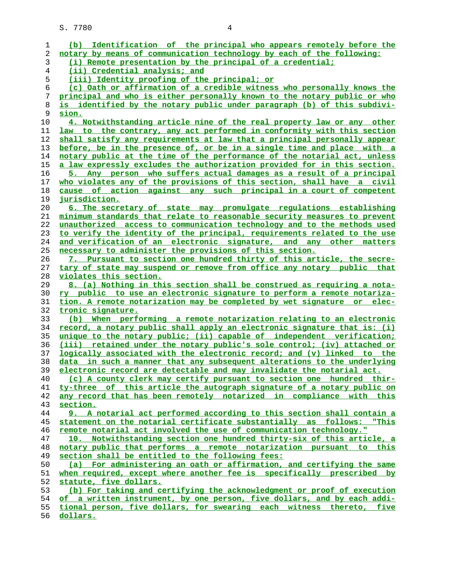| 1  | (b) Identification of the principal who appears remotely before the           |
|----|-------------------------------------------------------------------------------|
| 2  | notary by means of communication technology by each of the following:         |
| 3  | (i) Remote presentation by the principal of a credential;                     |
| 4  | (ii) Credential analysis; and                                                 |
| 5  | (iii) Identity proofing of the principal; or                                  |
| 6  | (c) Oath or affirmation of a credible witness who personally knows the        |
| 7  | principal and who is either personally known to the notary public or who      |
|    | is identified by the notary public under paragraph (b) of this subdivi-       |
| 8  |                                                                               |
| 9  | sion.                                                                         |
| 10 | 4. Notwithstanding article nine of the real property law or any other         |
| 11 | law to the contrary, any act performed in conformity with this section        |
| 12 | shall satisfy any requirements at law that a principal personally appear      |
| 13 | before, be in the presence of, or be in a single time and place with a        |
| 14 | notary public at the time of the performance of the notarial act, unless      |
| 15 | a law expressly excludes the authorization provided for in this section.      |
| 16 | 5. Any person who suffers actual damages as a result of a principal           |
| 17 | who violates any of the provisions of this section, shall have a civil        |
| 18 | cause of action against any such principal in a court of competent            |
| 19 | jurisdiction.                                                                 |
| 20 | 6. The secretary of state may promulgate regulations establishing             |
| 21 | minimum standards that relate to reasonable security measures to prevent      |
| 22 | unauthorized access to communication technology and to the methods used       |
| 23 | to verify the identity of the principal, requirements related to the use      |
| 24 | and verification of an electronic signature, and any other matters            |
|    |                                                                               |
| 25 | necessary to administer the provisions of this section.                       |
| 26 | 7. Pursuant to section one hundred thirty of this article, the secre-         |
| 27 | tary of state may suspend or remove from office any notary public that        |
| 28 | violates this section.                                                        |
| 29 | 8. (a) Nothing in this section shall be construed as requiring a nota-        |
| 30 | ry public to use an electronic signature to perform a remote notariza-        |
| 31 | tion. A remote notarization may be completed by wet signature or elec-        |
| 32 | <u>tronic signature.</u>                                                      |
| 33 | (b) When performing a remote notarization relating to an electronic           |
| 34 | record, a notary public shall apply an electronic signature that is: (i)      |
| 35 | unique to the notary public; (ii) capable of independent verification;        |
| 36 | (iii) retained under the notary public's sole control; (iv) attached or       |
| 37 | <u>logically associated with the electronic record; and (v) linked to the</u> |
| 38 | data in such a manner that any subsequent alterations to the underlying       |
| 39 | electronic record are detectable and may invalidate the notarial act.         |
| 40 | (c) A county clerk may certify pursuant to section one hundred thir-          |
| 41 | ty-three of this article the autograph signature of a notary public on        |
| 42 | any record that has been remotely notarized in compliance with this           |
| 43 | section.                                                                      |
| 44 | 9. A notarial act performed according to this section shall contain a         |
| 45 | statement on the notarial certificate substantially as follows: "This         |
| 46 | remote notarial act involved the use of communication technology."            |
| 47 | 10. Notwithstanding section one hundred thirty-six of this article, a         |
|    |                                                                               |
| 48 | notary public that performs a remote notarization pursuant to this            |
| 49 | section shall be entitled to the following fees:                              |
| 50 | (a) For administering an oath or affirmation, and certifying the same         |
| 51 | when required, except where another fee is specifically prescribed by         |
| 52 | statute, five dollars.                                                        |
| 53 | (b) For taking and certifying the acknowledgment or proof of execution        |
| 54 | of a written instrument, by one person, five dollars, and by each addi-       |
| 55 | tional person, five dollars, for swearing each witness thereto, five          |
| 56 | dollars.                                                                      |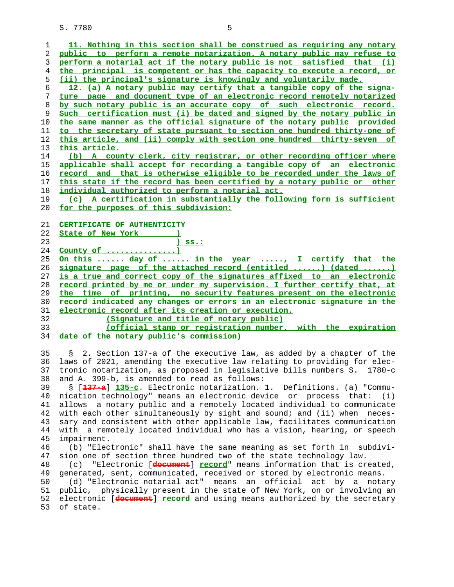| 1        | 11. Nothing in this section shall be construed as requiring any notary                |
|----------|---------------------------------------------------------------------------------------|
| 2        | public to perform a remote notarization. A notary public may refuse to                |
|          | perform a notarial act if the notary public is not satisfied that (i)                 |
| 3        |                                                                                       |
| 4        | the principal is competent or has the capacity to execute a record, or                |
| 5        | (ii) the principal's signature is knowingly and voluntarily made.                     |
| 6        | 12. (a) A notary public may certify that a tangible copy of the signa-                |
| 7        | ture page and document type of an electronic record remotely notarized                |
| 8        | by such notary public is an accurate copy of such electronic record.                  |
| 9        | Such certification must (i) be dated and signed by the notary public in               |
| 10       | the same manner as the official signature of the notary public provided               |
| 11       | to the secretary of state pursuant to section one hundred thirty-one of               |
| 12       | this article, and (ii) comply with section one hundred thirty-seven of                |
|          |                                                                                       |
| 13       | <u>this article.</u>                                                                  |
| 14       | (b) A county clerk, city registrar, or other recording officer where                  |
| 15       | applicable shall accept for recording a tangible copy of an electronic                |
| 16       | record and that is otherwise eligible to be recorded under the laws of                |
| 17       | this state if the record has been certified by a notary public or other               |
| 18       | individual authorized to perform a notarial act.                                      |
| 19       | (c) A certification in substantially the following form is sufficient                 |
| 20       | <u>for the purposes of this subdivision:</u>                                          |
|          |                                                                                       |
| 21       | CERTIFICATE OF AUTHENTICITY                                                           |
| 22       | State of New York                                                                     |
| 23       | $)$ ss.:                                                                              |
| 24       | County of $\dots\dots\dots\dots\dots$                                                 |
| 25       | <u>On this  day of  in the year , I certify that the</u>                              |
| 26       | signature page of the attached record (entitled ) (dated )                            |
| 27       | is a true and correct copy of the signatures affixed to an electronic                 |
| 28       | record printed by me or under my supervision. I further certify that, at              |
|          |                                                                                       |
|          |                                                                                       |
| 29       | the time of printing, no security features present on the electronic                  |
| 30       | record indicated any changes or errors in an electronic signature in the              |
| 31       | electronic record after its creation or execution.                                    |
| 32       | (Signature and title of notary public)                                                |
| 33       | (official stamp or registration number, with the expiration                           |
| 34       | date of the notary public's commission)                                               |
|          |                                                                                       |
| 35       | 2. Section 137-a of the executive law, as added by a chapter of the<br>S.             |
| 36       | laws of 2021, amending the executive law relating to providing for elec-              |
| 37       | tronic notarization, as proposed in legislative bills numbers S. 1780-c               |
| 38       | and A. 399-b, is amended to read as follows:                                          |
| 39       | § [ <del>137-a</del> ] 135-c. Electronic notarization. 1. Definitions. (a) "Commu-    |
| 40       | nication technology" means an electronic device or process that: (i)                  |
| 41       | allows a notary public and a remotely located individual to communicate               |
| 42       | with each other simultaneously by sight and sound; and (ii) when neces-               |
| 43       | sary and consistent with other applicable law, facilitates communication              |
|          |                                                                                       |
| 44       | with a remotely located individual who has a vision, hearing, or speech               |
| 45       | impairment.                                                                           |
| 46       | (b) "Electronic" shall have the same meaning as set forth in subdivi-                 |
| 47       | sion one of section three hundred two of the state technology law.                    |
| 48       | "Electronic [document] record" means information that is created,<br>(c)              |
| 49       | generated, sent, communicated, received or stored by electronic means.                |
| 50       | (d) "Electronic notarial act" means<br>an official act by a notary                    |
| 51       | public, physically present in the state of New York, on or involving an               |
| 52<br>53 | electronic [document] record and using means authorized by the secretary<br>of state. |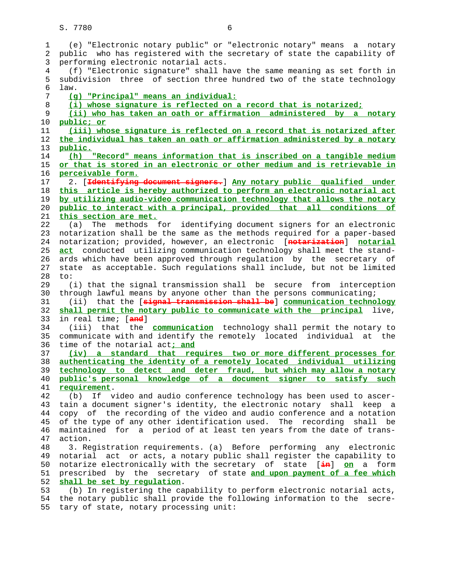1 (e) "Electronic notary public" or "electronic notary" means a notary 2 public who has registered with the secretary of state the capability of 3 performing electronic notarial acts. 4 (f) "Electronic signature" shall have the same meaning as set forth in 5 subdivision three of section three hundred two of the state technology 6 law. 7 **(g) "Principal" means an individual:** 8 **(i) whose signature is reflected on a record that is notarized;** 9 **(ii) who has taken an oath or affirmation administered by a notary** 10 **public; or** 11 **(iii) whose signature is reflected on a record that is notarized after** 12 **the individual has taken an oath or affirmation administered by a notary** 13 **public.** 14 **(h) "Record" means information that is inscribed on a tangible medium** 15 **or that is stored in an electronic or other medium and is retrievable in** 16 **perceivable form.** 17 2. [**Identifying document signers.**] **Any notary public qualified under** 18 **this article is hereby authorized to perform an electronic notarial act** 19 **by utilizing audio-video communication technology that allows the notary** 20 **public to interact with a principal, provided that all conditions of** 21 **this section are met.** 22 (a) The methods for identifying document signers for an electronic 23 notarization shall be the same as the methods required for a paper-based 24 notarization; provided, however, an electronic [**notarization**] **notarial** 25 **act** conducted utilizing communication technology shall meet the stand- 26 ards which have been approved through regulation by the secretary of 27 state as acceptable. Such regulations shall include, but not be limited 28 to: 29 (i) that the signal transmission shall be secure from interception 30 through lawful means by anyone other than the persons communicating; 31 (ii) that the [**signal transmission shall be**] **communication technology** 32 **shall permit the notary public to communicate with the principal** live, 33 in real time; [**and**] 34 (iii) that the **communication** technology shall permit the notary to 35 communicate with and identify the remotely located individual at the 36 time of the notarial act**; and** 37 **(iv) a standard that requires two or more different processes for** 38 **authenticating the identity of a remotely located individual utilizing** 39 **technology to detect and deter fraud, but which may allow a notary** 40 **public's personal knowledge of a document signer to satisfy such** 41 **requirement**. 42 (b) If video and audio conference technology has been used to ascer- 43 tain a document signer's identity, the electronic notary shall keep a 44 copy of the recording of the video and audio conference and a notation 45 of the type of any other identification used. The recording shall be 46 maintained for a period of at least ten years from the date of trans- 47 action. 48 3. Registration requirements. (a) Before performing any electronic 49 notarial act or acts, a notary public shall register the capability to 50 notarize electronically with the secretary of state [**in**] **on** a form 51 prescribed by the secretary of state **and upon payment of a fee which** 52 **shall be set by regulation**. 53 (b) In registering the capability to perform electronic notarial acts, 54 the notary public shall provide the following information to the secre- 55 tary of state, notary processing unit: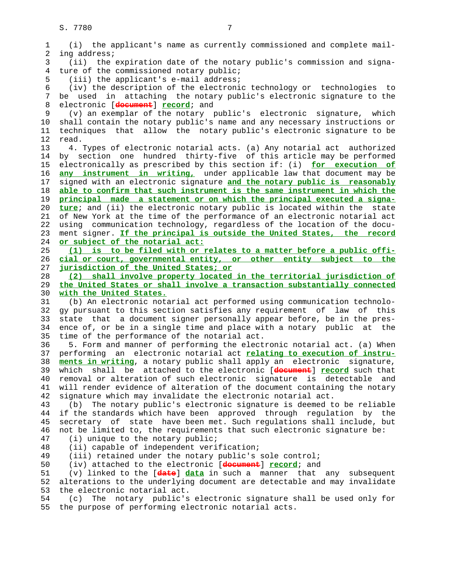1 (i) the applicant's name as currently commissioned and complete mail- 2 ing address; 3 (ii) the expiration date of the notary public's commission and signa- 4 ture of the commissioned notary public; 5 (iii) the applicant's e-mail address; 6 (iv) the description of the electronic technology or technologies to 7 be used in attaching the notary public's electronic signature to the 8 electronic [**document**] **record**; and 9 (v) an exemplar of the notary public's electronic signature, which 10 shall contain the notary public's name and any necessary instructions or 11 techniques that allow the notary public's electronic signature to be 12 read. 13 4. Types of electronic notarial acts. (a) Any notarial act authorized 14 by section one hundred thirty-five of this article may be performed 15 electronically as prescribed by this section if: (i) **for execution of** 16 **any instrument in writing,** under applicable law that document may be 17 signed with an electronic signature **and the notary public is reasonably** 18 **able to confirm that such instrument is the same instrument in which the** 19 **principal made a statement or on which the principal executed a signa-** 20 **ture**; and (ii) the electronic notary public is located within the state 21 of New York at the time of the performance of an electronic notarial act 22 using communication technology, regardless of the location of the docu- 23 ment signer. **If the principal is outside the United States, the record** 24 **or subject of the notarial act:** 25 **(1) is to be filed with or relates to a matter before a public offi-** 26 **cial or court, governmental entity, or other entity subject to the** 27 **jurisdiction of the United States; or** 28 **(2) shall involve property located in the territorial jurisdiction of** 29 **the United States or shall involve a transaction substantially connected** 30 **with the United States.** 31 (b) An electronic notarial act performed using communication technolo- 32 gy pursuant to this section satisfies any requirement of law of this 33 state that a document signer personally appear before, be in the pres- 34 ence of, or be in a single time and place with a notary public at the 35 time of the performance of the notarial act. 36 5. Form and manner of performing the electronic notarial act. (a) When 37 performing an electronic notarial act **relating to execution of instru-** 38 **ments in writing**, a notary public shall apply an electronic signature, 39 which shall be attached to the electronic [**document**] **record** such that 40 removal or alteration of such electronic signature is detectable and 41 will render evidence of alteration of the document containing the notary 42 signature which may invalidate the electronic notarial act. 43 (b) The notary public's electronic signature is deemed to be reliable 44 if the standards which have been approved through regulation by the 45 secretary of state have been met. Such regulations shall include, but 46 not be limited to, the requirements that such electronic signature be: 47 (i) unique to the notary public; 48 (ii) capable of independent verification; 49 (iii) retained under the notary public's sole control; 50 (iv) attached to the electronic [**document**] **record**; and 51 (v) linked to the [**date**] **data** in such a manner that any subsequent 52 alterations to the underlying document are detectable and may invalidate 53 the electronic notarial act. 54 (c) The notary public's electronic signature shall be used only for 55 the purpose of performing electronic notarial acts.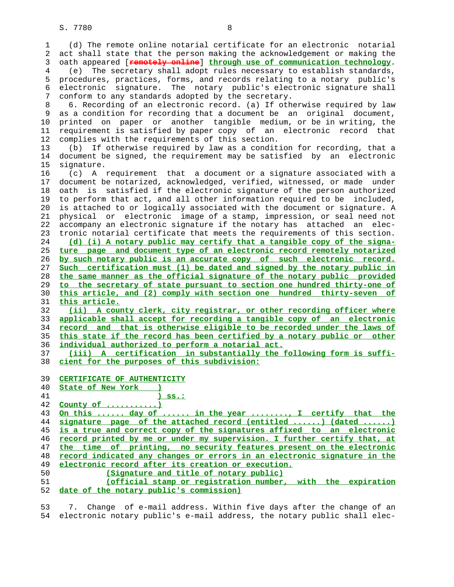| 1        | (d) The remote online notarial certificate for an electronic notarial                                                                    |
|----------|------------------------------------------------------------------------------------------------------------------------------------------|
| 2        | act shall state that the person making the acknowledgement or making the                                                                 |
| 3        | oath appeared [remotely online] through use of communication technology.                                                                 |
| 4        | (e) The secretary shall adopt rules necessary to establish standards,                                                                    |
| 5        | procedures, practices, forms, and records relating to a notary public's                                                                  |
| 6        | signature. The notary public's electronic signature shall<br>electronic                                                                  |
| 7        | conform to any standards adopted by the secretary.                                                                                       |
| 8        | 6. Recording of an electronic record. (a) If otherwise required by law                                                                   |
| 9        | as a condition for recording that a document be an original document,                                                                    |
| 10       | printed on paper or another tangible medium, or be in writing, the                                                                       |
| 11       | requirement is satisfied by paper copy of an electronic<br>record that                                                                   |
| 12       | complies with the requirements of this section.                                                                                          |
| 13       | If otherwise required by law as a condition for recording, that a<br>(b)                                                                 |
| 14       | document be signed, the requirement may be satisfied by an electronic                                                                    |
| 15       | signature.                                                                                                                               |
| 16       | (c) A requirement that a document or a signature associated with a                                                                       |
| 17       | document be notarized, acknowledged, verified, witnessed, or made under                                                                  |
| 18       | oath is satisfied if the electronic signature of the person authorized                                                                   |
| 19       |                                                                                                                                          |
|          | to perform that act, and all other information required to be included,                                                                  |
| 20<br>21 | is attached to or logically associated with the document or signature. A                                                                 |
| 22       | physical or electronic image of a stamp, impression, or seal need not<br>accompany an electronic signature if the notary has attached an |
|          | elec-<br>tronic notarial certificate that meets the requirements of this section.                                                        |
| 23<br>24 | (d) (i) A notary public may certify that a tangible copy of the signa-                                                                   |
| 25       | ture page and document type of an electronic record remotely notarized                                                                   |
| 26       | by such notary public is an accurate copy of such electronic record.                                                                     |
| 27       | Such certification must (1) be dated and signed by the notary public in                                                                  |
| 28       | the same manner as the official signature of the notary public provided                                                                  |
| 29       | to the secretary of state pursuant to section one hundred thirty-one of                                                                  |
| 30       | this article, and (2) comply with section one hundred thirty-seven of                                                                    |
| 31       | this article.                                                                                                                            |
| 32       | (ii) A county clerk, city registrar, or other recording officer where                                                                    |
| 33       | applicable shall accept for recording a tangible copy of an electronic                                                                   |
| 34       | record and that is otherwise eligible to be recorded under the laws of                                                                   |
| 35       | this state if the record has been certified by a notary public or other                                                                  |
| 36       | individual authorized to perform a notarial act.                                                                                         |
| 37       | (iii) A certification in substantially the following form is suffi-                                                                      |
| 38       | cient for the purposes of this subdivision:                                                                                              |
| 39       | CERTIFICATE OF AUTHENTICITY                                                                                                              |
| 40       | State of New York                                                                                                                        |
| 41       | <u>) ss.:</u>                                                                                                                            |
| 42       | County of $\dots\dots\dots\dots$                                                                                                         |
| 43       | On this  day of  in the year , I certify that the                                                                                        |
| 44       | signature page of the attached record (entitled ) (dated )                                                                               |
| 45       | is a true and correct copy of the signatures affixed to an electronic                                                                    |
| 46       | record printed by me or under my supervision. I further certify that, at                                                                 |
| 47       | the time of printing, no security features present on the electronic                                                                     |
| 48       | record indicated any changes or errors in an electronic signature in the                                                                 |
| 49       | electronic record after its creation or execution.                                                                                       |
| 50       | (Signature and title of notary public)                                                                                                   |
| 51       | (official stamp or registration number, with the expiration                                                                              |
| 52       | date of the notary public's commission)                                                                                                  |
|          |                                                                                                                                          |

 53 7. Change of e-mail address. Within five days after the change of an 54 electronic notary public's e-mail address, the notary public shall elec-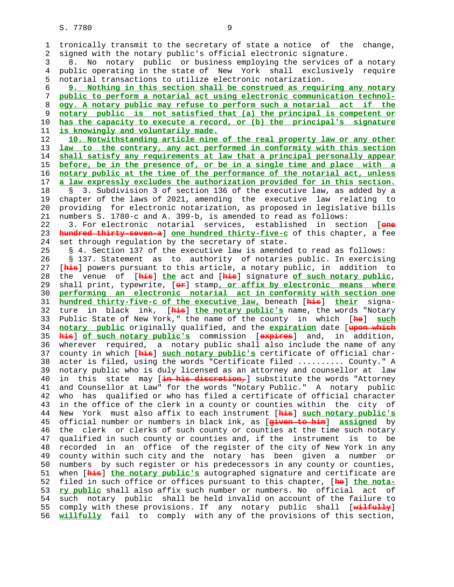1 tronically transmit to the secretary of state a notice of the change, 2 signed with the notary public's official electronic signature. 3 8. No notary public or business employing the services of a notary 4 public operating in the state of New York shall exclusively require 5 notarial transactions to utilize electronic notarization. 6 **9. Nothing in this section shall be construed as requiring any notary** 7 **public to perform a notarial act using electronic communication technol-** 8 **ogy. A notary public may refuse to perform such a notarial act if the** 9 **notary public is not satisfied that (a) the principal is competent or** 10 **has the capacity to execute a record, or (b) the principal's signature** 11 **is knowingly and voluntarily made.** 12 **10. Notwithstanding article nine of the real property law or any other** 13 **law to the contrary, any act performed in conformity with this section** 14 **shall satisfy any requirements at law that a principal personally appear** 15 **before, be in the presence of, or be in a single time and place with a** 16 **notary public at the time of the performance of the notarial act, unless** 17 **a law expressly excludes the authorization provided for in this section.** 18 § 3. Subdivision 3 of section 136 of the executive law, as added by a 19 chapter of the laws of 2021, amending the executive law relating to 20 providing for electronic notarization, as proposed in legislative bills 21 numbers S. 1780-c and A. 399-b, is amended to read as follows: 22 3. For electronic notarial services, established in section [**one** 23 **hundred thirty-seven-a**] **one hundred thirty-five-c** of this chapter, a fee 24 set through regulation by the secretary of state. 25 § 4. Section 137 of the executive law is amended to read as follows: 26 § 137. Statement as to authority of notaries public. In exercising 27 [**his**] powers pursuant to this article, a notary public, in addition to 28 the venue of [**his**] **the** act and [**his**] signature **of such notary public**, 29 shall print, typewrite, [**or**] stamp**, or affix by electronic means where** 30 **performing an electronic notarial act in conformity with section one** 31 **hundred thirty-five-c of the executive law,** beneath [**his**] **their** signa- 32 ture in black ink, [**his**] **the notary public's** name, the words "Notary 33 Public State of New York," the name of the county in which [**he**] **such** 34 **notary public** originally qualified, and the **expiration** date [**upon which** 35 **his**] **of such notary public's** commission [**expires**] and, in addition, 36 wherever required, a notary public shall also include the name of any 37 county in which [**his**] **such notary public's** certificate of official char- 38 acter is filed, using the words "Certificate filed .......... County." A 39 notary public who is duly licensed as an attorney and counsellor at law 40 in this state may [**in his discretion,**] substitute the words "Attorney 41 and Counsellor at Law" for the words "Notary Public." A notary public 42 who has qualified or who has filed a certificate of official character 43 in the office of the clerk in a county or counties within the city of 44 New York must also affix to each instrument [**his**] **such notary public's** 45 official number or numbers in black ink, as [**given to him**] **assigned** by 46 the clerk or clerks of such county or counties at the time such notary 47 qualified in such county or counties and, if the instrument is to be 48 recorded in an office of the register of the city of New York in any 49 county within such city and the notary has been given a number or 50 numbers by such register or his predecessors in any county or counties, 51 when [**his**] **the notary public's** autographed signature and certificate are 52 filed in such office or offices pursuant to this chapter, [**he**] **the nota-** 53 **ry public** shall also affix such number or numbers. No official act of 54 such notary public shall be held invalid on account of the failure to 55 comply with these provisions. If any notary public shall [**wilfully**] 56 **willfully** fail to comply with any of the provisions of this section,